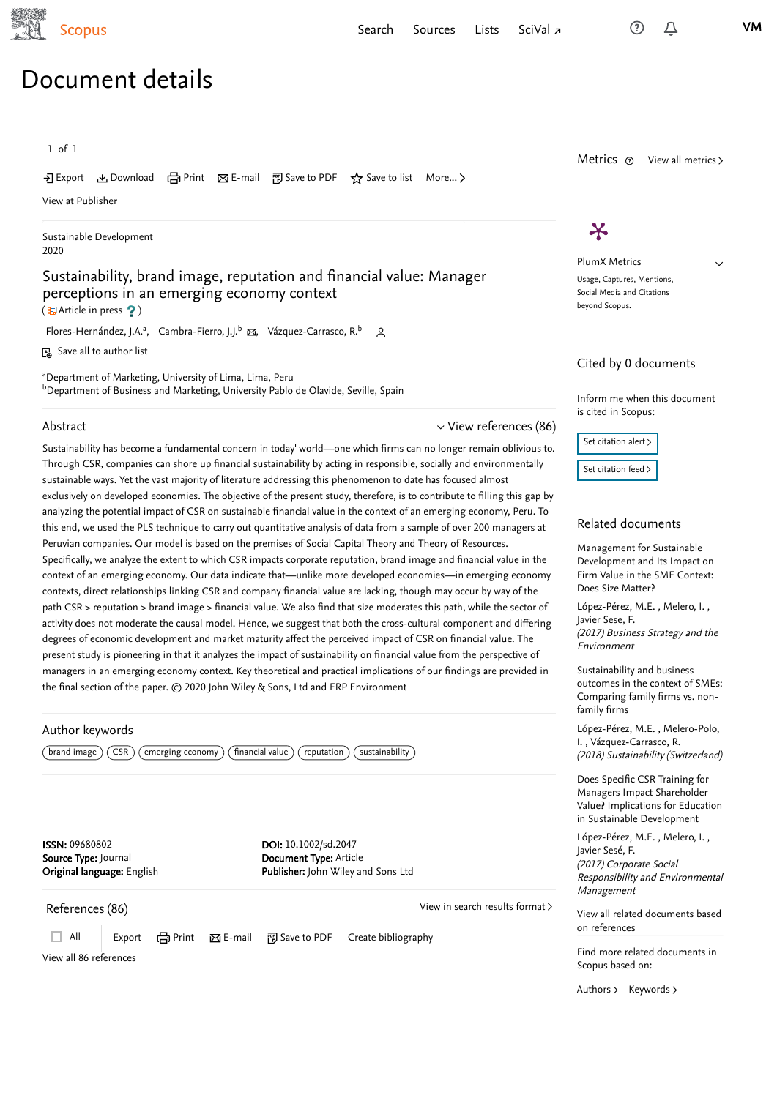<span id="page-0-2"></span>

 $\checkmark$ 

# Document details

1 of 1

Export Download Print E-mail Save to PDF ⋆ Save to list More... ▻

[View at Publisher](https://www.scopus.com/redirect/linking.uri?targetURL=https%3a%2f%2fdoi.org%2f10.1002%2fsd.2047&locationID=1&categoryID=4&eid=2-s2.0-85079908635&issn=09680802&linkType=ViewAtPublisher&year=2020&origin=recordpage&dig=309b19a369f155644e4af063caa212f1&recordRank=)

[Sustainable Development](https://www.scopus.com/sourceid/25874?origin=recordpage) 2020

### Sustainability, brand image, reputation and financial value: Manager perceptions in an emerging economy context

 $(\mathbf{\mathbb{E}}$  Article in press ?)

[Flores-Hernández, J.A.](https://www.scopus.com/authid/detail.uri?authorId=57215095134&eid=2-s2.0-85079908635)<sup>a</sup>, [Cambra-Fierro, J.J.](https://www.scopus.com/authid/detail.uri?authorId=11440113300&eid=2-s2.0-85079908635)<sup>b</sup> 図, [Vázquez-Carrasco, R.](https://www.scopus.com/authid/detail.uri?authorId=11939736200&eid=2-s2.0-85079908635)<sup>b</sup> Q

Save all to author list

<sup>a</sup>Department of Marketing, University of Lima, Lima, Peru <sup>b</sup>Department of Business and Marketing, University Pablo de Olavide, Seville, Spain-

#### Abstract

Sustainability has become a fundamental concern in today' world—one which firms can no longer remain oblivious to. Through CSR, companies can shore up financial sustainability by acting in responsible, socially and environmentally sustainable ways. Yet the vast majority of literature addressing this phenomenon to date has focused almost exclusively on developed economies. The objective of the present study, therefore, is to contribute to filling this gap by analyzing the potential impact of CSR on sustainable financial value in the context of an emerging economy, Peru. To this end, we used the PLS technique to carry out quantitative analysis of data from a sample of over 200 managers at Peruvian companies. Our model is based on the premises of Social Capital Theory and Theory of Resources. Specifically, we analyze the extent to which CSR impacts corporate reputation, brand image and financial value in the context of an emerging economy. Our data indicate that—unlike more developed economies—in emerging economy contexts, direct relationships linking CSR and company financial value are lacking, though may occur by way of the path CSR > reputation > brand image > financial value. We also find that size moderates this path, while the sector of activity does not moderate the causal model. Hence, we suggest that both the cross-cultural component and differing degrees of economic development and market maturity affect the perceived impact of CSR on financial value. The present study is pioneering in that it analyzes the impact of sustainability on financial value from the perspective of managers in an emerging economy context. Key theoretical and practical implications of our findings are provided in the final section of the paper. © 2020 John Wiley & Sons, Ltd and ERP Environment

#### Author keywords

 $(\overline{\text{brand image}})$   $(\overline{\text{CSR}})$  (emerging economy) (financial value) (reputation) (sustainability)

ISSN: 09680802 Source Type: Journal Original language: English DOI: 10.1002/sd.2047 Document Type: Article Publisher: John Wiley and Sons Ltd

<span id="page-0-0"></span>References (86)

[View in search results format](https://www.scopus.com/search/submit/references.uri?sort=plf-f&src=r&imp=t&sid=cb97008df151faae9c48739200b4cb91&sot=rec&sdt=citedreferences&sl=23&s=EID%282-s2.0-85079908635%29&origin=recordpage&citeCnt=1&citingId=2-s2.0-85079908635) >

<span id="page-0-1"></span> $\vee$  [View references \(86\)](#page-0-0)

□ All | Export 日 Print ⊠ E-mail 門 Save to PDF Create bibliography

[View all 86 references](https://www.scopus.com/search/submit/references.uri?sort=plf-f&src=r&imp=t&sid=cb97008df151faae9c48739200b4cb91&sot=rec&sdt=citedreferences&sl=23&s=EID%282-s2.0-85079908635%29&origin=recordpage&citeCnt=1&citingId=2-s2.0-85079908635)

Metrics  $\odot$  View all metrics >

## $\boldsymbol{\varkappa}$

PlumX Metrics Usage, Captures, Mentions, Social Media and Citations beyond Scopus.

#### Cited by 0 documents

Inform me when this document is cited in Scopus:



#### Related documents

Management for Sustainable [Development and Its Impact on](https://www.scopus.com/record/display.uri?origin=recordpage&zone=relatedDocuments&eid=2-s2.0-85018360231&noHighlight=false&relpos=0) Firm Value in the SME Context: Does Size Matter?

[López-Pérez, M.E.](https://www.scopus.com/authid/detail.uri?origin=recordpage&authorId=37000024500&zone=relatedDocuments) , Melero, I. , (2017) Business Strategy and the Environment [Javier Sese, F.](https://www.scopus.com/authid/detail.uri?origin=recordpage&authorId=26633728500&zone=relatedDocuments)

Sustainability and business [outcomes in the context of SMEs:](https://www.scopus.com/record/display.uri?origin=recordpage&zone=relatedDocuments&eid=2-s2.0-85056093368&noHighlight=false&relpos=1) Comparing family firms vs. nonfamily firms

[López-Pérez, M.E.](https://www.scopus.com/authid/detail.uri?origin=recordpage&authorId=37000024500&zone=relatedDocuments), Melero-Polo, , I. [Vázquez-Carrasco, R.](https://www.scopus.com/authid/detail.uri?origin=recordpage&authorId=55151451400&zone=relatedDocuments) (2018) Sustainability (Switzerland)

Does Specific CSR Training for Managers Impact Shareholder [Value? Implications for Education](https://www.scopus.com/record/display.uri?origin=recordpage&zone=relatedDocuments&eid=2-s2.0-85014021725&noHighlight=false&relpos=2) in Sustainable Development

[López-Pérez, M.E.](https://www.scopus.com/authid/detail.uri?origin=recordpage&authorId=37000024500&zone=relatedDocuments) , Melero, I. , (2017) Corporate Social Responsibility and Environmental Management [Javier Sesé, F.](https://www.scopus.com/authid/detail.uri?origin=recordpage&authorId=26633728500&zone=relatedDocuments)

[View all related documents based](https://www.scopus.com/search/submit/mlt.uri?eid=2-s2.0-85079908635&src=s&all=true&origin=recordpage&method=ref&zone=relatedDocuments) on references

Find more related documents in Scopus based on:

[Authors](https://www.scopus.com/search/submit/mlt.uri?eid=2-s2.0-85079908635&src=s&all=true&origin=recordpage&method=aut&zone=relatedDocuments) > [Keywords](https://www.scopus.com/search/submit/mlt.uri?eid=2-s2.0-85079908635&src=s&all=true&origin=recordpage&method=key&zone=relatedDocuments) >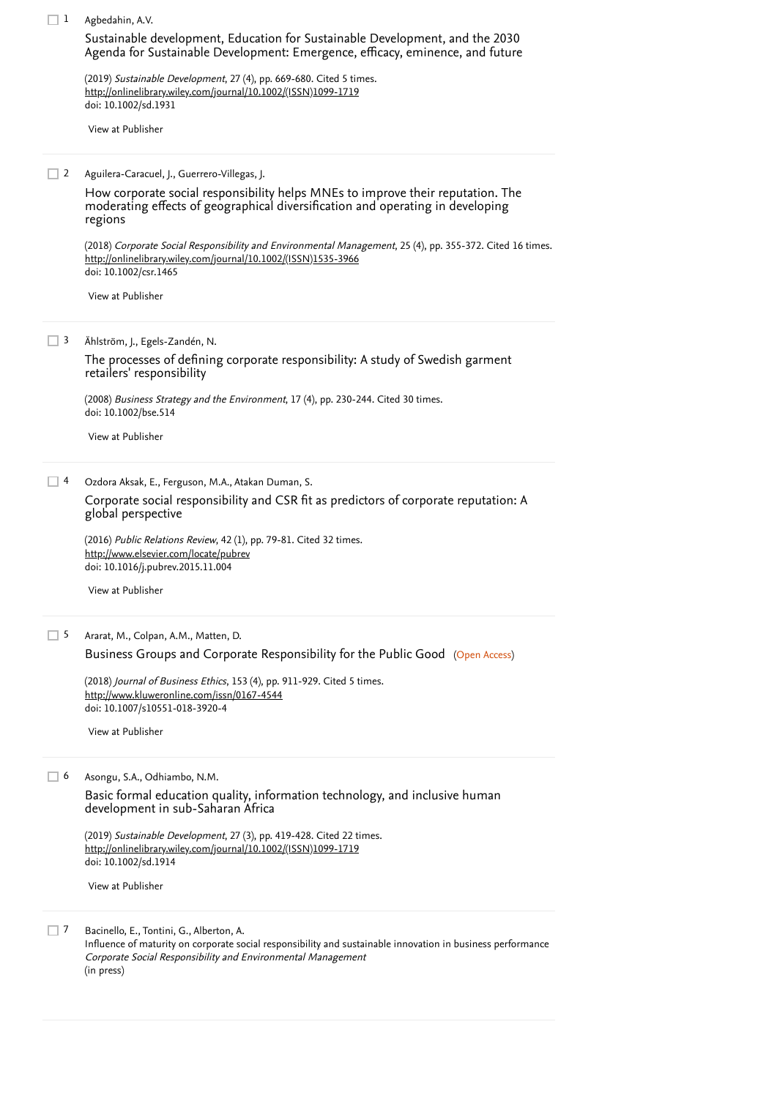| $\Box$ 1 | Agbedahin, A.V.                                                                                                                                                                                      |
|----------|------------------------------------------------------------------------------------------------------------------------------------------------------------------------------------------------------|
|          | Sustainable development, Education for Sustainable Development, and the 2030<br>Agenda for Sustainable Development: Emergence, efficacy, eminence, and future                                        |
|          | (2019) Sustainable Development, 27 (4), pp. 669-680. Cited 5 times.<br>http://onlinelibrary.wiley.com/journal/10.1002/(ISSN)1099-1719<br>doi: 10.1002/sd.1931                                        |
|          | View at Publisher                                                                                                                                                                                    |
|          |                                                                                                                                                                                                      |
| $\Box$ 2 | Aguilera-Caracuel, J., Guerrero-Villegas, J.                                                                                                                                                         |
|          | How corporate social responsibility helps MNEs to improve their reputation. The<br>moderating effects of geographical diversification and operating in developing<br>regions                         |
|          | (2018) Corporate Social Responsibility and Environmental Management, 25 (4), pp. 355-372. Cited 16 times.<br>http://onlinelibrary.wiley.com/journal/10.1002/(ISSN)1535-3966<br>doi: 10.1002/csr.1465 |
|          | View at Publisher                                                                                                                                                                                    |
| $\Box$ 3 | Ählström, J., Egels-Zandén, N.                                                                                                                                                                       |
|          | The processes of defining corporate responsibility: A study of Swedish garment<br>retailers' responsibility                                                                                          |
|          | (2008) Business Strategy and the Environment, 17 (4), pp. 230-244. Cited 30 times.<br>doi: 10.1002/bse.514                                                                                           |
|          | View at Publisher                                                                                                                                                                                    |
| $\Box$ 4 | Ozdora Aksak, E., Ferguson, M.A., Atakan Duman, S.                                                                                                                                                   |
|          | Corporate social responsibility and CSR fit as predictors of corporate reputation: A<br>global perspective                                                                                           |
|          | (2016) Public Relations Review, 42 (1), pp. 79-81. Cited 32 times.                                                                                                                                   |
|          | http://www.elsevier.com/locate/pubrev<br>doi: 10.1016/j.pubrev.2015.11.004                                                                                                                           |
|          | View at Publisher                                                                                                                                                                                    |
| $\Box$ 5 | Ararat, M., Colpan, A.M., Matten, D.                                                                                                                                                                 |
|          | Business Groups and Corporate Responsibility for the Public Good (Open Access)                                                                                                                       |
|          | (2018) Journal of Business Ethics, 153 (4), pp. 911-929. Cited 5 times.                                                                                                                              |
|          | http://www.kluweronline.com/issn/0167-4544                                                                                                                                                           |
|          | doi: 10.1007/s10551-018-3920-4                                                                                                                                                                       |
|          | View at Publisher                                                                                                                                                                                    |
|          |                                                                                                                                                                                                      |
| $\Box$ 6 | Asongu, S.A., Odhiambo, N.M.                                                                                                                                                                         |
|          | Basic formal education quality, information technology, and inclusive human<br>development in sub-Saharan Africa                                                                                     |
|          | (2019) Sustainable Development, 27 (3), pp. 419-428. Cited 22 times.<br>http://onlinelibrary.wiley.com/journal/10.1002/(ISSN)1099-1719<br>doi: 10.1002/sd.1914                                       |
|          | View at Publisher                                                                                                                                                                                    |

Bacinello, E., Tontini, G., Alberton, A.  $\Box$  7

> Influence of maturity on corporate social responsibility and sustainable innovation in business performance Corporate Social Responsibility and Environmental Management (in press)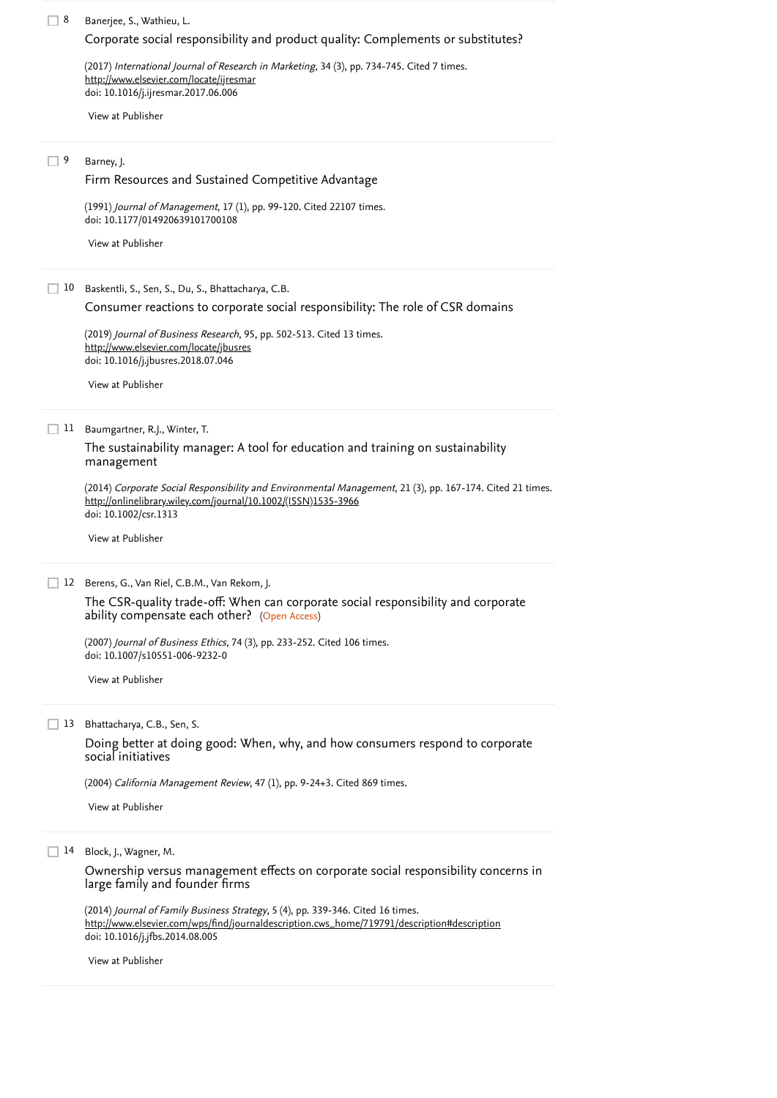#### 8 Banerjee, S., Wathieu, L.

### [Corporate social responsibility and product quality: Complements or substitutes?](https://www.scopus.com/record/display.uri?eid=2-s2.0-85026548297&origin=reflist&recordRank=)

(2017) *International Journal of Research in Marketing*, 34 (3), pp. 734-745. [Cited 7 times](https://www.scopus.com/search/submit/citedby.uri?eid=2-s2.0-85079908635&refeid=2-s2.0-85026548297&src=s&origin=reflist&refstat=core). doi: 10.1016/j.ijresmar.2017.06.006 <http://www.elsevier.com/locate/ijresmar>

[View at Publisher](https://www.scopus.com/redirect/linking.uri?targetURL=https%3a%2f%2fdoi.org%2f10.1016%2fj.ijresmar.2017.06.006&locationID=3&categoryID=4&eid=2-s2.0-85026548297&issn=01678116&linkType=ViewAtPublisher&year=2017&origin=reflist&dig=cf1142056bc2079f1d2d6824bd4bc407&recordRank=)

#### Barney, J. 9

#### [Firm Resources and Sustained Competitive Advantage](https://www.scopus.com/record/display.uri?eid=2-s2.0-84896930624&origin=reflist&recordRank=)

(1991) *Journal of Management*, 17 (1), pp. 99-120. [Cited 22107 times](https://www.scopus.com/search/submit/citedby.uri?eid=2-s2.0-85079908635&refeid=2-s2.0-84896930624&src=s&origin=reflist&refstat=core). doi: 10.1177/014920639101700108

[View at Publisher](https://www.scopus.com/redirect/linking.uri?targetURL=https%3a%2f%2fdoi.org%2f10.1177%2f014920639101700108&locationID=3&categoryID=4&eid=2-s2.0-84896930624&issn=15571211&linkType=ViewAtPublisher&year=1991&origin=reflist&dig=ee5a05612a8f5d9c3d48078d98369e95&recordRank=)

10 Baskentli, S., Sen, S., Du, S., Bhattacharya, C.B.

[Consumer reactions to corporate social responsibility: The role of CSR domains](https://www.scopus.com/record/display.uri?eid=2-s2.0-85050879858&origin=reflist&recordRank=)

(2019) *Journal of Business Research*, 95, pp. 502-513. [Cited 13 times](https://www.scopus.com/search/submit/citedby.uri?eid=2-s2.0-85079908635&refeid=2-s2.0-85050879858&src=s&origin=reflist&refstat=core). doi: 10.1016/j.jbusres.2018.07.046 <http://www.elsevier.com/locate/jbusres>

[View at Publisher](https://www.scopus.com/redirect/linking.uri?targetURL=https%3a%2f%2fdoi.org%2f10.1016%2fj.jbusres.2018.07.046&locationID=3&categoryID=4&eid=2-s2.0-85050879858&issn=01482963&linkType=ViewAtPublisher&year=2019&origin=reflist&dig=051c8e04ceff0cc8f91f89bb64e6fd19&recordRank=)

11 Baumgartner, R.J., Winter, T.

[The sustainability manager: A tool for education and training on sustainability](https://www.scopus.com/record/display.uri?eid=2-s2.0-84902287444&origin=reflist&recordRank=) management

(2014) *Corporate Social Responsibility and Environmental Management*, 21 (3), pp. 167-174. [Cited 21 times](https://www.scopus.com/search/submit/citedby.uri?eid=2-s2.0-85079908635&refeid=2-s2.0-84902287444&src=s&origin=reflist&refstat=core).<br><u>[http://onlinelibrary.wiley.com/journal/10.1002/\(ISSN\)1535-3966](http://onlinelibrary.wiley.com/journal/10.1002/(ISSN)1535-3966)</u> doi: 10.1002/csr.1313

[View at Publisher](https://www.scopus.com/redirect/linking.uri?targetURL=https%3a%2f%2fdoi.org%2f10.1002%2fcsr.1313&locationID=3&categoryID=4&eid=2-s2.0-84902287444&issn=15353966&linkType=ViewAtPublisher&year=2014&origin=reflist&dig=18639994624c8d845f675136af2bfd1e&recordRank=)

12 Berens, G., Van Riel, C.B.M., Van Rekom, J.

ability compensate each other? (Open Access) [The CSR-quality trade-off: When can corporate social responsibility and corporate](https://www.scopus.com/record/display.uri?eid=2-s2.0-34547858562&origin=reflist&recordRank=)

(2007) *Journal of Business Ethics*, 74 (3), pp. 233-252. [Cited 106 times](https://www.scopus.com/search/submit/citedby.uri?eid=2-s2.0-85079908635&refeid=2-s2.0-34547858562&src=s&origin=reflist&refstat=core). doi: 10.1007/s10551-006-9232-0

[View at Publisher](https://www.scopus.com/redirect/linking.uri?targetURL=https%3a%2f%2fdoi.org%2f10.1007%2fs10551-006-9232-0&locationID=3&categoryID=4&eid=2-s2.0-34547858562&issn=01674544&linkType=ViewAtPublisher&year=2007&origin=reflist&dig=a6536d6b0db5b5636c698510f37fa00b&recordRank=)

13 Bhattacharya, C.B., Sen, S.

[Doing better at doing good: When, why, and how consumers respond to corporate](https://www.scopus.com/record/display.uri?eid=2-s2.0-10844233900&origin=reflist&recordRank=) social initiatives

(2004) *California Management Review*, 47 (1), pp. 9-24+3. [Cited 869 times](https://www.scopus.com/search/submit/citedby.uri?eid=2-s2.0-85079908635&refeid=2-s2.0-10844233900&src=s&origin=reflist&refstat=core).

[View at Publisher](https://www.scopus.com/redirect/linking.uri?targetURL=http%3a%2f%2fdx.doi.org%2f10.2307%2f41166284&locationID=3&categoryID=4&eid=2-s2.0-10844233900&issn=00081256&linkType=ViewAtPublisher&year=2004&origin=reflist&dig=a5a0882258211b6d86fb3aba18c4c807&recordRank=)

14 Block, J., Wagner, M.

[Ownership versus management effects on corporate social responsibility concerns in](https://www.scopus.com/record/display.uri?eid=2-s2.0-84926665311&origin=reflist&recordRank=) large family and founder firms

(2014) *Journal of Family Business Strategy*, 5 (4), pp. 339-346. [Cited 16 times](https://www.scopus.com/search/submit/citedby.uri?eid=2-s2.0-85079908635&refeid=2-s2.0-84926665311&src=s&origin=reflist&refstat=core). doi: 10.1016/j.jfbs.2014.08.005 [http://www.elsevier.com/wps/find/journaldescription.cws\\_home/719791/description#description](http://www.elsevier.com/wps/find/journaldescription.cws_home/719791/description#description)

[View at Publisher](https://www.scopus.com/redirect/linking.uri?targetURL=https%3a%2f%2fdoi.org%2f10.1016%2fj.jfbs.2014.08.005&locationID=3&categoryID=4&eid=2-s2.0-84926665311&issn=18778585&linkType=ViewAtPublisher&year=2014&origin=reflist&dig=bbcbc34064e707e309e5987142a04e59&recordRank=)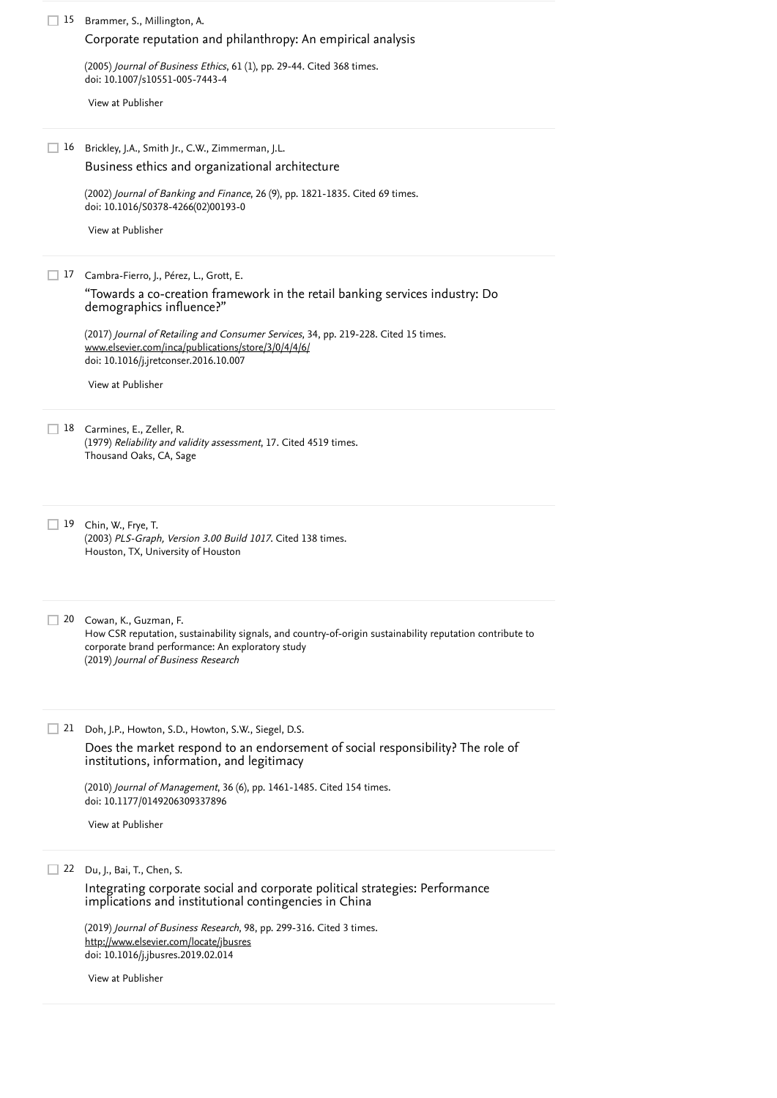| 15 | Brammer, S., Millington, A.                                                                                                           |
|----|---------------------------------------------------------------------------------------------------------------------------------------|
|    | Corporate reputation and philanthropy: An empirical analysis                                                                          |
|    | (2005) Journal of Business Ethics, 61 (1), pp. 29-44. Cited 368 times.<br>doi: 10.1007/s10551-005-7443-4                              |
|    | View at Publisher                                                                                                                     |
|    |                                                                                                                                       |
| 16 | Brickley, J.A., Smith Jr., C.W., Zimmerman, J.L.<br>Business ethics and organizational architecture                                   |
|    | (2002) Journal of Banking and Finance, 26 (9), pp. 1821-1835. Cited 69 times.<br>doi: 10.1016/S0378-4266(02)00193-0                   |
|    | View at Publisher                                                                                                                     |
|    |                                                                                                                                       |
| 17 | Cambra-Fierro, J., Pérez, L., Grott, E.                                                                                               |
|    | "Towards a co-creation framework in the retail banking services industry: Do<br>demographics influence?"                              |
|    | (2017) Journal of Retailing and Consumer Services, 34, pp. 219-228. Cited 15 times.                                                   |
|    | www.elsevier.com/inca/publications/store/3/0/4/4/6/<br>doi: 10.1016/j.jretconser.2016.10.007                                          |
|    | View at Publisher                                                                                                                     |
|    |                                                                                                                                       |
|    | 18 Carmines, E., Zeller, R.<br>(1979) Reliability and validity assessment, 17. Cited 4519 times.<br>Thousand Oaks, CA, Sage           |
|    |                                                                                                                                       |
|    |                                                                                                                                       |
| 19 | Chin, W., Frye, T.<br>(2003) PLS-Graph, Version 3.00 Build 1017. Cited 138 times.                                                     |
|    | Houston, TX, University of Houston                                                                                                    |
|    |                                                                                                                                       |
|    |                                                                                                                                       |
|    | 20 Cowan, K., Guzman, F.<br>How CSR reputation, sustainability signals, and country-of-origin sustainability reputation contribute to |
|    | corporate brand performance: An exploratory study<br>(2019) Journal of Business Research                                              |
|    |                                                                                                                                       |
|    |                                                                                                                                       |
| 21 | Doh, J.P., Howton, S.D., Howton, S.W., Siegel, D.S.                                                                                   |
|    | Does the market respond to an endorsement of social responsibility? The role of<br>institutions, information, and legitimacy          |
|    | (2010) Journal of Management, 36 (6), pp. 1461-1485. Cited 154 times.                                                                 |
|    | doi: 10.1177/0149206309337896                                                                                                         |
|    | View at Publisher                                                                                                                     |
|    |                                                                                                                                       |
| 22 | Du, J., Bai, T., Chen, S.<br>Integrating corporate social and corporate political strategies: Performance                             |
|    | implications and institutional contingencies in China                                                                                 |
|    | (2019) Journal of Business Research, 98, pp. 299-316. Cited 3 times.                                                                  |
|    | http://www.elsevier.com/locate/jbusres<br>doi: 10.1016/j.jbusres.2019.02.014                                                          |
|    | View at Publisher                                                                                                                     |
|    |                                                                                                                                       |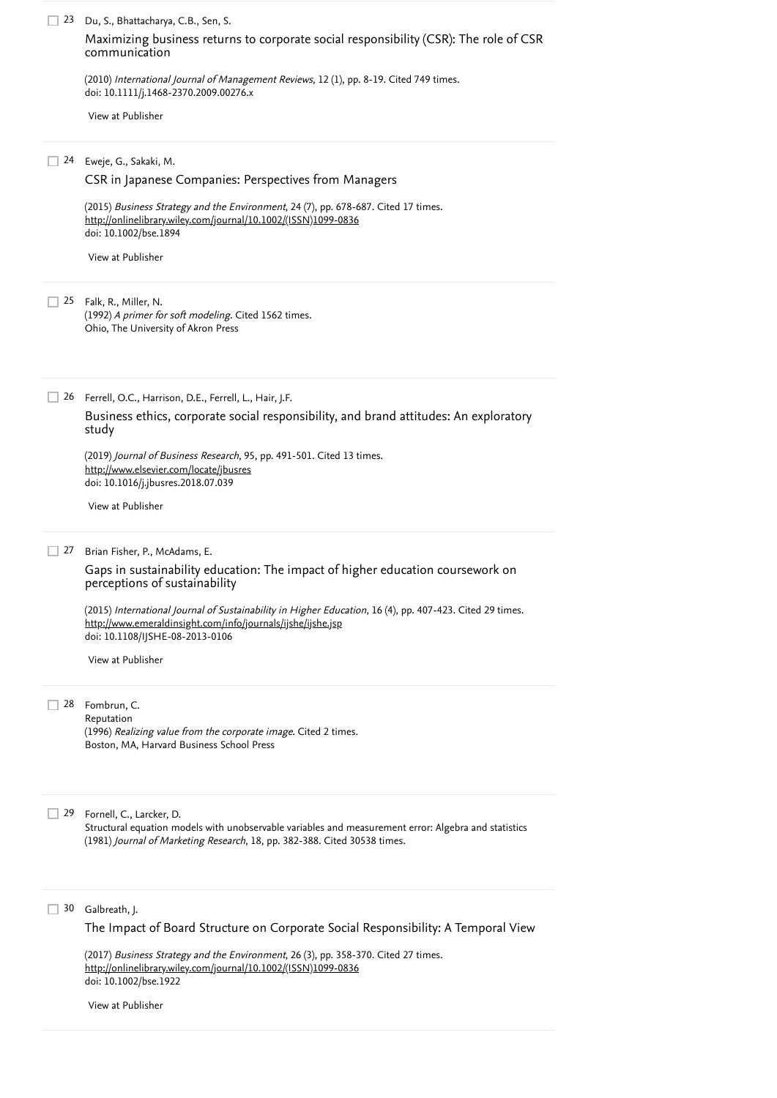| 23        | Du, S., Bhattacharya, C.B., Sen, S.                                                                                                                                                                                                                                                                                                     |
|-----------|-----------------------------------------------------------------------------------------------------------------------------------------------------------------------------------------------------------------------------------------------------------------------------------------------------------------------------------------|
|           | Maximizing business returns to corporate social responsibility (CSR): The role of CSR<br>communication                                                                                                                                                                                                                                  |
|           | (2010) International Journal of Management Reviews, 12(1), pp. 8-19. Cited 749 times.<br>doi: 10.1111/j.1468-2370.2009.00276.x                                                                                                                                                                                                          |
|           | View at Publisher                                                                                                                                                                                                                                                                                                                       |
| 24        | Eweje, G., Sakaki, M.                                                                                                                                                                                                                                                                                                                   |
|           | CSR in Japanese Companies: Perspectives from Managers                                                                                                                                                                                                                                                                                   |
|           | (2015) Business Strategy and the Environment, 24 (7), pp. 678-687. Cited 17 times.<br>http://onlinelibrary.wiley.com/journal/10.1002/(ISSN)1099-0836<br>doi: 10.1002/bse.1894                                                                                                                                                           |
|           | View at Publisher                                                                                                                                                                                                                                                                                                                       |
|           | 25 Falk, R., Miller, N.<br>(1992) A primer for soft modeling. Cited 1562 times.<br>Ohio, The University of Akron Press                                                                                                                                                                                                                  |
| 26        | Ferrell, O.C., Harrison, D.E., Ferrell, L., Hair, J.F.                                                                                                                                                                                                                                                                                  |
|           | Business ethics, corporate social responsibility, and brand attitudes: An exploratory<br>study                                                                                                                                                                                                                                          |
|           | (2019) Journal of Business Research, 95, pp. 491-501. Cited 13 times.<br>http://www.elsevier.com/locate/jbusres<br>doi: 10.1016/j.jbusres.2018.07.039                                                                                                                                                                                   |
|           | View at Publisher                                                                                                                                                                                                                                                                                                                       |
| $\Box$ 27 | Brian Fisher, P., McAdams, E.                                                                                                                                                                                                                                                                                                           |
|           | Gaps in sustainability education: The impact of higher education coursework on<br>perceptions of sustainability                                                                                                                                                                                                                         |
|           | (2015) International Journal of Sustainability in Higher Education, 16 (4), pp. 407-423. Cited 29 times.<br>http://www.emeraldinsight.com/info/journals/ijshe/ijshe.jsp<br>doi: 10.1108/IJSHE-08-2013-0106                                                                                                                              |
|           | View at Publisher                                                                                                                                                                                                                                                                                                                       |
| 28        | Fombrun, C.                                                                                                                                                                                                                                                                                                                             |
|           | Reputation<br>(1996) Realizing value from the corporate image. Cited 2 times.<br>Boston, MA, Harvard Business School Press                                                                                                                                                                                                              |
| 29        | Fornell, C., Larcker, D.<br>Structural equation models with unobservable variables and measurement error: Algebra and statistics                                                                                                                                                                                                        |
| 30        | (1981) Journal of Marketing Research, 18, pp. 382-388. Cited 30538 times.<br>Galbreath, J.<br>The Impact of Board Structure on Corporate Social Responsibility: A Temporal View<br>(2017) Business Strategy and the Environment, 26 (3), pp. 358-370. Cited 27 times.<br>http://onlinelibrary.wiley.com/journal/10.1002/(ISSN)1099-0836 |
|           | doi: 10.1002/bse.1922<br>View at Publisher                                                                                                                                                                                                                                                                                              |
|           |                                                                                                                                                                                                                                                                                                                                         |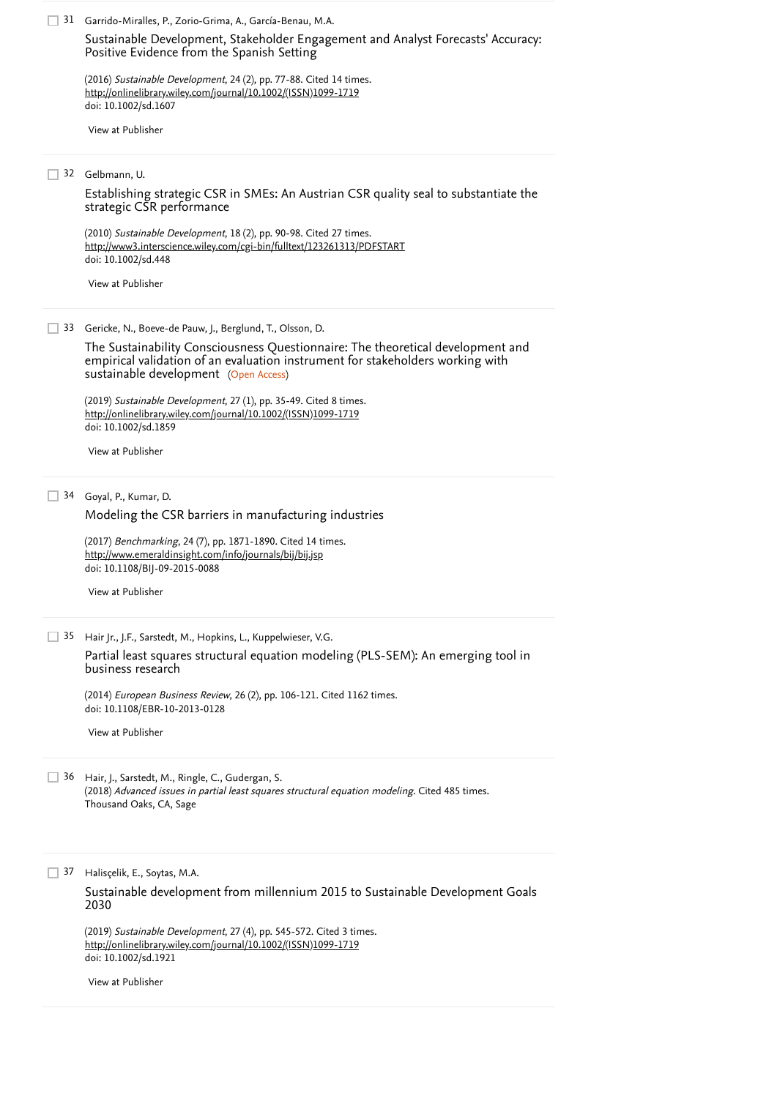Garrido-Miralles, P., Zorio-Grima, A., García-Benau, M.A. 31 (2016) Sustainable Development, 24 (2), pp. 77-88. [Cited 14 times](https://www.scopus.com/search/submit/citedby.uri?eid=2-s2.0-85079908635&refeid=2-s2.0-84952803287&src=s&origin=reflist&refstat=core). doi: 10.1002/sd.1607 Gelbmann, U. 32 (2010) *Sustainable Development*, 18 (2), pp. 90-98. [Cited 27 times](https://www.scopus.com/search/submit/citedby.uri?eid=2-s2.0-85079908635&refeid=2-s2.0-77950226031&src=s&origin=reflist&refstat=core). doi: 10.1002/sd.448 33 Gericke, N., Boeve-de Pauw, J., Berglund, T., Olsson, D. sustainable development) (Open Access) (2019) Sustainable Development, 27 (1), pp. 35-49. [Cited 8 times](https://www.scopus.com/search/submit/citedby.uri?eid=2-s2.0-85079908635&refeid=2-s2.0-85050470816&src=s&origin=reflist&refstat=core). doi: 10.1002/sd.1859 Goyal, P., Kumar, D. 34 (2017) *Benchmarking*, 24 (7), pp. 1871-1890. [Cited 14 times](https://www.scopus.com/search/submit/citedby.uri?eid=2-s2.0-85079908635&refeid=2-s2.0-85029799531&src=s&origin=reflist&refstat=core). doi: 10.1108/BIJ-09-2015-0088 Hair Jr., J.F., Sarstedt, M., Hopkins, L., Kuppelwieser, V.G. 35 (2014) *European Business Review*, 26 (2), pp. 106-121. [Cited 1162 times](https://www.scopus.com/search/submit/citedby.uri?eid=2-s2.0-85079908635&refeid=2-s2.0-84897659532&src=s&origin=reflist&refstat=core). doi: 10.1108/EBR-10-2013-0128 Hair, J., Sarstedt, M., Ringle, C., Gudergan, S. 36 (2018) *Advanced issues in partial least squares structural equation modeling*. [Cited 485 times](https://www.scopus.com/search/submit/citedby.uri?eid=2-s2.0-85079908635&refeid=2-s2.0-84977167879&src=s&origin=reflist&refstat=dummy). Thousand Oaks, CA, Sage Halisçelik, E., Soytas, M.A. 37 (2019) Sustainable Development, 27 (4), pp. 545-572. [Cited 3 times](https://www.scopus.com/search/submit/citedby.uri?eid=2-s2.0-85079908635&refeid=2-s2.0-85060521751&src=s&origin=reflist&refstat=core). doi: 10.1002/sd.1921 [Sustainable Development, Stakeholder Engagement and Analyst Forecasts' Accuracy:](https://www.scopus.com/record/display.uri?eid=2-s2.0-84952803287&origin=reflist&recordRank=) Positive Evidence from the Spanish Setting [http://onlinelibrary.wiley.com/journal/10.1002/\(ISSN\)1099-1719](http://onlinelibrary.wiley.com/journal/10.1002/(ISSN)1099-1719) [View at Publisher](https://www.scopus.com/redirect/linking.uri?targetURL=https%3a%2f%2fdoi.org%2f10.1002%2fsd.1607&locationID=3&categoryID=4&eid=2-s2.0-84952803287&issn=10991719&linkType=ViewAtPublisher&year=2016&origin=reflist&dig=5bbc732f1f119730e95fa2711e0d185d&recordRank=) [Establishing strategic CSR in SMEs: An Austrian CSR quality seal to substantiate the](https://www.scopus.com/record/display.uri?eid=2-s2.0-77950226031&origin=reflist&recordRank=) strategic CSR performance <http://www3.interscience.wiley.com/cgi-bin/fulltext/123261313/PDFSTART> [View at Publisher](https://www.scopus.com/redirect/linking.uri?targetURL=https%3a%2f%2fdoi.org%2f10.1002%2fsd.448&locationID=3&categoryID=4&eid=2-s2.0-77950226031&issn=09680802&linkType=ViewAtPublisher&year=2010&origin=reflist&dig=b2abd4e18692d1aa0fffaf44a6b4b494&recordRank=) [The Sustainability Consciousness Questionnaire: The theoretical development and](https://www.scopus.com/record/display.uri?eid=2-s2.0-85050470816&origin=reflist&recordRank=) empirical validation of an evaluation instrument for stakeholders working with [http://onlinelibrary.wiley.com/journal/10.1002/\(ISSN\)1099-1719](http://onlinelibrary.wiley.com/journal/10.1002/(ISSN)1099-1719) [View at Publisher](https://www.scopus.com/redirect/linking.uri?targetURL=https%3a%2f%2fdoi.org%2f10.1002%2fsd.1859&locationID=3&categoryID=4&eid=2-s2.0-85050470816&issn=10991719&linkType=ViewAtPublisher&year=2019&origin=reflist&dig=779150a7e3e9a810658419c43ab3cfc2&recordRank=) [Modeling the CSR barriers in manufacturing industries](https://www.scopus.com/record/display.uri?eid=2-s2.0-85029799531&origin=reflist&recordRank=) <http://www.emeraldinsight.com/info/journals/bij/bij.jsp> [View at Publisher](https://www.scopus.com/redirect/linking.uri?targetURL=https%3a%2f%2fdoi.org%2f10.1108%2fBIJ-09-2015-0088&locationID=3&categoryID=4&eid=2-s2.0-85029799531&issn=14635771&linkType=ViewAtPublisher&year=2017&origin=reflist&dig=1dbf126883ec7694256ea6fbf65629c2&recordRank=) [Partial least squares structural equation modeling \(PLS-SEM\): An emerging tool in](https://www.scopus.com/record/display.uri?eid=2-s2.0-84897659532&origin=reflist&recordRank=) business research [View at Publisher](https://www.scopus.com/redirect/linking.uri?targetURL=https%3a%2f%2fdoi.org%2f10.1108%2fEBR-10-2013-0128&locationID=3&categoryID=4&eid=2-s2.0-84897659532&issn=0955534X&linkType=ViewAtPublisher&year=2014&origin=reflist&dig=206b611eb97456feb5086d8da2cdbff0&recordRank=) [Sustainable development from millennium 2015 to Sustainable Development Goals](https://www.scopus.com/record/display.uri?eid=2-s2.0-85060521751&origin=reflist&recordRank=) 2030 [http://onlinelibrary.wiley.com/journal/10.1002/\(ISSN\)1099-1719](http://onlinelibrary.wiley.com/journal/10.1002/(ISSN)1099-1719) [View at Publisher](https://www.scopus.com/redirect/linking.uri?targetURL=https%3a%2f%2fdoi.org%2f10.1002%2fsd.1921&locationID=3&categoryID=4&eid=2-s2.0-85060521751&issn=10991719&linkType=ViewAtPublisher&year=2019&origin=reflist&dig=4f2953d0247cfeab20b2cdc441a92a3a&recordRank=)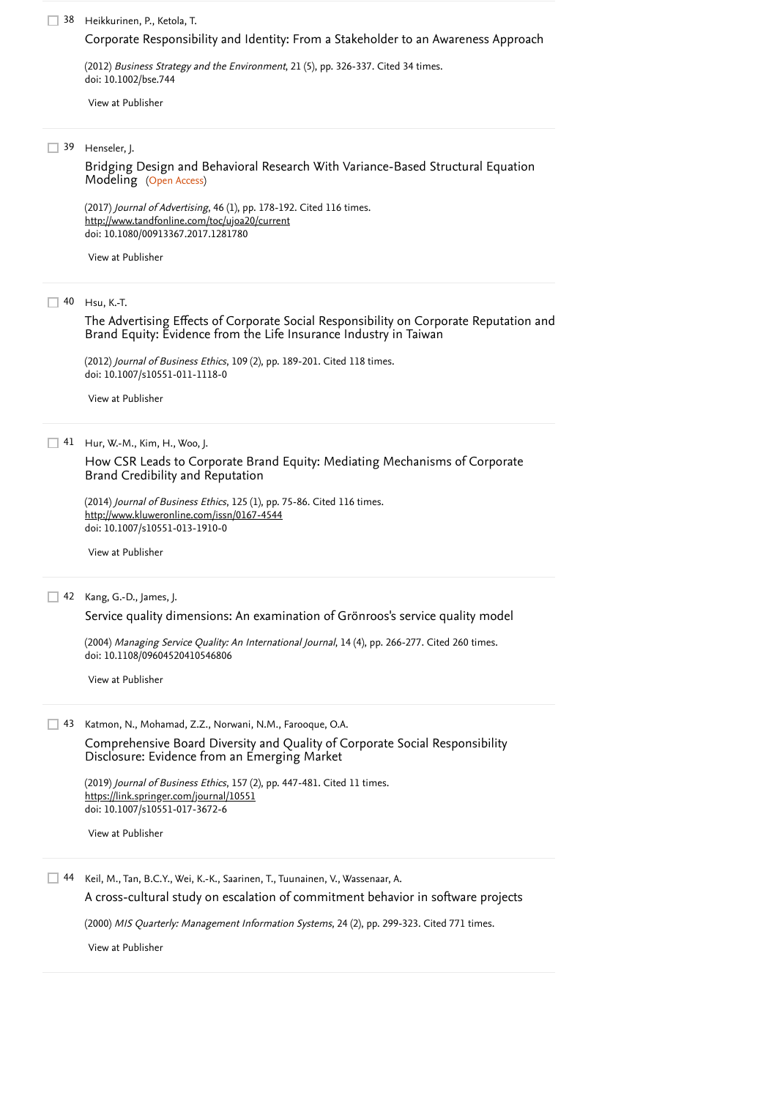Heikkurinen, P., Ketola, T. 38

#### [Corporate Responsibility and Identity: From a Stakeholder to an Awareness Approach](https://www.scopus.com/record/display.uri?eid=2-s2.0-84863783928&origin=reflist&recordRank=)

(2012) *Business Strategy and the Environment*, 21 (5), pp. 326-337. [Cited 34 times](https://www.scopus.com/search/submit/citedby.uri?eid=2-s2.0-85079908635&refeid=2-s2.0-84863783928&src=s&origin=reflist&refstat=core).<br>doi: 10.1002/bse.744<br>[View at Publisher](https://www.scopus.com/redirect/linking.uri?targetURL=https%3a%2f%2fdoi.org%2f10.1002%2fbse.744&locationID=3&categoryID=4&eid=2-s2.0-84863783928&issn=09644733&linkType=ViewAtPublisher&year=2012&origin=reflist&dig=e82da075aec5cc75ff79a727dbea3606&recordRank=) doi: 10.1002/bse.744

Henseler, J. 39

Modeling (Open Access) [Bridging Design and Behavioral Research With Variance-Based Structural Equation](https://www.scopus.com/record/display.uri?eid=2-s2.0-85011805093&origin=reflist&recordRank=)

(2017) *Journal of Advertising*, 46 (1), pp. 178-192. [Cited 116 times](https://www.scopus.com/search/submit/citedby.uri?eid=2-s2.0-85079908635&refeid=2-s2.0-85011805093&src=s&origin=reflist&refstat=core). doi: 10.1080/00913367.2017.1281780 <http://www.tandfonline.com/toc/ujoa20/current>

[View at Publisher](https://www.scopus.com/redirect/linking.uri?targetURL=https%3a%2f%2fdoi.org%2f10.1080%2f00913367.2017.1281780&locationID=3&categoryID=4&eid=2-s2.0-85011805093&issn=00913367&linkType=ViewAtPublisher&year=2017&origin=reflist&dig=f3565025614ac91ba93896902907c53c&recordRank=)

40 Hsu, K.-T.

[The Advertising Effects of Corporate Social Responsibility on Corporate Reputation and](https://www.scopus.com/record/display.uri?eid=2-s2.0-84865444658&origin=reflist&recordRank=) Brand Equity: Evidence from the Life Insurance Industry in Taiwan

(2012) *Journal of Business Ethics*, 109 (2), pp. 189-201. [Cited 118 times](https://www.scopus.com/search/submit/citedby.uri?eid=2-s2.0-85079908635&refeid=2-s2.0-84865444658&src=s&origin=reflist&refstat=core). doi: 10.1007/s10551-011-1118-0

[View at Publisher](https://www.scopus.com/redirect/linking.uri?targetURL=https%3a%2f%2fdoi.org%2f10.1007%2fs10551-011-1118-0&locationID=3&categoryID=4&eid=2-s2.0-84865444658&issn=01674544&linkType=ViewAtPublisher&year=2012&origin=reflist&dig=34847be2d275f5020bc1fcfea1245744&recordRank=)

Hur, W.-M., Kim, H., Woo, J. 41

[How CSR Leads to Corporate Brand Equity: Mediating Mechanisms of Corporate](https://www.scopus.com/record/display.uri?eid=2-s2.0-84920973119&origin=reflist&recordRank=) Brand Credibility and Reputation

(2014) *Journal of Business Ethics*, 125 (1), pp. 75-86. [Cited 116 times](https://www.scopus.com/search/submit/citedby.uri?eid=2-s2.0-85079908635&refeid=2-s2.0-84920973119&src=s&origin=reflist&refstat=core). doi: 10.1007/s10551-013-1910-0 <http://www.kluweronline.com/issn/0167-4544>

[View at Publisher](https://www.scopus.com/redirect/linking.uri?targetURL=https%3a%2f%2fdoi.org%2f10.1007%2fs10551-013-1910-0&locationID=3&categoryID=4&eid=2-s2.0-84920973119&issn=15730697&linkType=ViewAtPublisher&year=2014&origin=reflist&dig=4040a5be6965456263520c85ee560acd&recordRank=)

#### Kang, G.-D., James, J. 42

[Service quality dimensions: An examination of Grönroos's service quality model](https://www.scopus.com/record/display.uri?eid=2-s2.0-84993047474&origin=reflist&recordRank=)

(2004) *Managing Service Quality: An International Journal*, 14 (4), pp. 266-277. [Cited 260 times](https://www.scopus.com/search/submit/citedby.uri?eid=2-s2.0-85079908635&refeid=2-s2.0-84993047474&src=s&origin=reflist&refstat=core). doi: 10.1108/09604520410546806

[View at Publisher](https://www.scopus.com/redirect/linking.uri?targetURL=https%3a%2f%2fdoi.org%2f10.1108%2f09604520410546806&locationID=3&categoryID=4&eid=2-s2.0-84993047474&issn=09604529&linkType=ViewAtPublisher&year=2004&origin=reflist&dig=cbdb00edc3e71dc7563505cad21fdd9b&recordRank=)

43 Katmon, N., Mohamad, Z.Z., Norwani, N.M., Farooque, O.A. [Comprehensive Board Diversity and Quality of Corporate Social Responsibility](https://www.scopus.com/record/display.uri?eid=2-s2.0-85027895174&origin=reflist&recordRank=) Disclosure: Evidence from an Emerging Market

(2019) *Journal of Business Ethics*, 157 (2), pp. 447-481. [Cited 11 times](https://www.scopus.com/search/submit/citedby.uri?eid=2-s2.0-85079908635&refeid=2-s2.0-85027895174&src=s&origin=reflist&refstat=core). doi: 10.1007/s10551-017-3672-6 <https://link.springer.com/journal/10551>

[View at Publisher](https://www.scopus.com/redirect/linking.uri?targetURL=https%3a%2f%2fdoi.org%2f10.1007%2fs10551-017-3672-6&locationID=3&categoryID=4&eid=2-s2.0-85027895174&issn=15730697&linkType=ViewAtPublisher&year=2019&origin=reflist&dig=61507e300cf0fe53d0d574b345dd2883&recordRank=)

Keil, M., Tan, B.C.Y., Wei, K.-K., Saarinen, T., Tuunainen, V., Wassenaar, A. 44

[A cross-cultural study on escalation of commitment behavior in software projects](https://www.scopus.com/record/display.uri?eid=2-s2.0-0040918921&origin=reflist&recordRank=)

(2000) *MIS Quarterly: Management Information Systems*, 24 (2), pp. 299-323. [Cited 771 times](https://www.scopus.com/search/submit/citedby.uri?eid=2-s2.0-85079908635&refeid=2-s2.0-0040918921&src=s&origin=reflist&refstat=core).

[View at Publisher](https://www.scopus.com/redirect/linking.uri?targetURL=http%3a%2f%2fdx.doi.org%2f10.2307%2f3250940&locationID=3&categoryID=4&eid=2-s2.0-0040918921&issn=02767783&linkType=ViewAtPublisher&year=2000&origin=reflist&dig=32c2944f326e5ed81e4897c761c9dee6&recordRank=)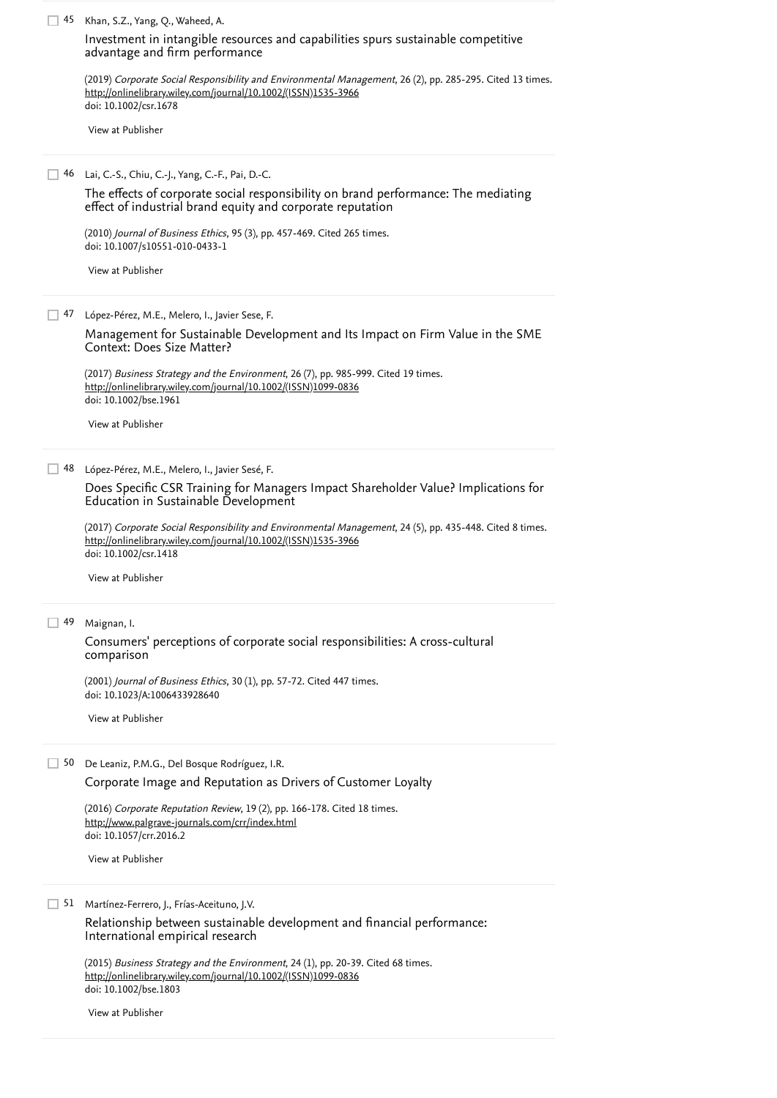45 Khan, S.Z., Yang, Q., Waheed, A. (2019) *Corporate Social Responsibility and Environmental Management*, 26 (2), pp. 285-295. [Cited 13 times](https://www.scopus.com/search/submit/citedby.uri?eid=2-s2.0-85079908635&refeid=2-s2.0-85053667526&src=s&origin=reflist&refstat=core).<br><u>[http://onlinelibrary.wiley.com/journal/10.1002/\(ISSN\)1535-3966](http://onlinelibrary.wiley.com/journal/10.1002/(ISSN)1535-3966)</u> doi: 10.1002/csr.1678 Lai, C.-S., Chiu, C.-J., Yang, C.-F., Pai, D.-C. 46 (2010) *Journal of Business Ethics*, 95 (3), pp. 457-469. [Cited 265 times](https://www.scopus.com/search/submit/citedby.uri?eid=2-s2.0-85079908635&refeid=2-s2.0-77955266665&src=s&origin=reflist&refstat=core). doi: 10.1007/s10551-010-0433-1 López-Pérez, M.E., Melero, I., Javier Sese, F. 47 (2017) *Business Strategy and the Environment*, 26 (7), pp. 985-999. [Cited 19 times](https://www.scopus.com/search/submit/citedby.uri?eid=2-s2.0-85079908635&refeid=2-s2.0-85018360231&src=s&origin=reflist&refstat=core).<br><u>[http://onlinelibrary.wiley.com/journal/10.1002/\(ISSN\)1099-0836](http://onlinelibrary.wiley.com/journal/10.1002/(ISSN)1099-0836)</u> doi: 10.1002/bse.1961 López-Pérez, M.E., Melero, I., Javier Sesé, F. 48 (2017) Corporate Social Responsibility and Environmental Management, 24 (5), pp. 435-448. [Cited 8 times](https://www.scopus.com/search/submit/citedby.uri?eid=2-s2.0-85079908635&refeid=2-s2.0-85014021725&src=s&origin=reflist&refstat=core). doi: 10.1002/csr.1418 49 Maignan, I. (2001) *Journal of Business Ethics*, 30 (1), pp. 57-72. [Cited 447 times](https://www.scopus.com/search/submit/citedby.uri?eid=2-s2.0-85079908635&refeid=2-s2.0-0035285465&src=s&origin=reflist&refstat=core). doi: 10.1023/A:1006433928640 50 De Leaniz, P.M.G., Del Bosque Rodríguez, I.R. (2016) *Corporate Reputation Review*, 19 (2), pp. 166-178. [Cited 18 times](https://www.scopus.com/search/submit/citedby.uri?eid=2-s2.0-85079908635&refeid=2-s2.0-84964570167&src=s&origin=reflist&refstat=core). doi: 10.1057/crr.2016.2 Martínez-Ferrero, J., Frías-Aceituno, J.V. 51 (2015) *Business Strategy and the Environment*, 24 (1), pp. 20-39. [Cited 68 times](https://www.scopus.com/search/submit/citedby.uri?eid=2-s2.0-85079908635&refeid=2-s2.0-84921550381&src=s&origin=reflist&refstat=core). doi: 10.1002/bse.1803 [Investment in intangible resources and capabilities spurs sustainable competitive](https://www.scopus.com/record/display.uri?eid=2-s2.0-85053667526&origin=reflist&recordRank=) advantage and firm performance [View at Publisher](https://www.scopus.com/redirect/linking.uri?targetURL=https%3a%2f%2fdoi.org%2f10.1002%2fcsr.1678&locationID=3&categoryID=4&eid=2-s2.0-85053667526&issn=15353966&linkType=ViewAtPublisher&year=2019&origin=reflist&dig=dd62bf828289941d739b27d2dee188ba&recordRank=) [The effects of corporate social responsibility on brand performance: The mediating](https://www.scopus.com/record/display.uri?eid=2-s2.0-77955266665&origin=reflist&recordRank=) effect of industrial brand equity and corporate reputation [View at Publisher](https://www.scopus.com/redirect/linking.uri?targetURL=https%3a%2f%2fdoi.org%2f10.1007%2fs10551-010-0433-1&locationID=3&categoryID=4&eid=2-s2.0-77955266665&issn=01674544&linkType=ViewAtPublisher&year=2010&origin=reflist&dig=6fdba8ad3484f8b22b2e460846d02c7d&recordRank=) [Management for Sustainable Development and Its Impact on Firm Value in the SME](https://www.scopus.com/record/display.uri?eid=2-s2.0-85018360231&origin=reflist&recordRank=) Context: Does Size Matter? [View at Publisher](https://www.scopus.com/redirect/linking.uri?targetURL=https%3a%2f%2fdoi.org%2f10.1002%2fbse.1961&locationID=3&categoryID=4&eid=2-s2.0-85018360231&issn=10990836&linkType=ViewAtPublisher&year=2017&origin=reflist&dig=6bb4d88e19234ffcd8e63b91e9cb6ad0&recordRank=) [Does Specific CSR Training for Managers Impact Shareholder Value? Implications for](https://www.scopus.com/record/display.uri?eid=2-s2.0-85014021725&origin=reflist&recordRank=) Education in Sustainable Development [http://onlinelibrary.wiley.com/journal/10.1002/\(ISSN\)1535-3966](http://onlinelibrary.wiley.com/journal/10.1002/(ISSN)1535-3966) [View at Publisher](https://www.scopus.com/redirect/linking.uri?targetURL=https%3a%2f%2fdoi.org%2f10.1002%2fcsr.1418&locationID=3&categoryID=4&eid=2-s2.0-85014021725&issn=15353966&linkType=ViewAtPublisher&year=2017&origin=reflist&dig=b55458c3f74818d163caa69222a23afe&recordRank=) [Consumers' perceptions of corporate social responsibilities: A cross-cultural](https://www.scopus.com/record/display.uri?eid=2-s2.0-0035285465&origin=reflist&recordRank=) comparison [View at Publisher](https://www.scopus.com/redirect/linking.uri?targetURL=https%3a%2f%2fdoi.org%2f10.1023%2fA%3a1006433928640&locationID=3&categoryID=4&eid=2-s2.0-0035285465&issn=01674544&linkType=ViewAtPublisher&year=2001&origin=reflist&dig=27ef32837def9f6ebe7f3a9fd26348ed&recordRank=) [Corporate Image and Reputation as Drivers of Customer Loyalty](https://www.scopus.com/record/display.uri?eid=2-s2.0-84964570167&origin=reflist&recordRank=) <http://www.palgrave-journals.com/crr/index.html> [View at Publisher](https://www.scopus.com/redirect/linking.uri?targetURL=https%3a%2f%2fdoi.org%2f10.1057%2fcrr.2016.2&locationID=3&categoryID=4&eid=2-s2.0-84964570167&issn=14791889&linkType=ViewAtPublisher&year=2016&origin=reflist&dig=c6d0080ba063ca224325afbe64bcb2ee&recordRank=) [Relationship between sustainable development and financial performance:](https://www.scopus.com/record/display.uri?eid=2-s2.0-84921550381&origin=reflist&recordRank=) International empirical research [http://onlinelibrary.wiley.com/journal/10.1002/\(ISSN\)1099-0836](http://onlinelibrary.wiley.com/journal/10.1002/(ISSN)1099-0836) [View at Publisher](https://www.scopus.com/redirect/linking.uri?targetURL=https%3a%2f%2fdoi.org%2f10.1002%2fbse.1803&locationID=3&categoryID=4&eid=2-s2.0-84921550381&issn=10990836&linkType=ViewAtPublisher&year=2015&origin=reflist&dig=f7f5e07b3d3a6d1090e96dc53db361d6&recordRank=)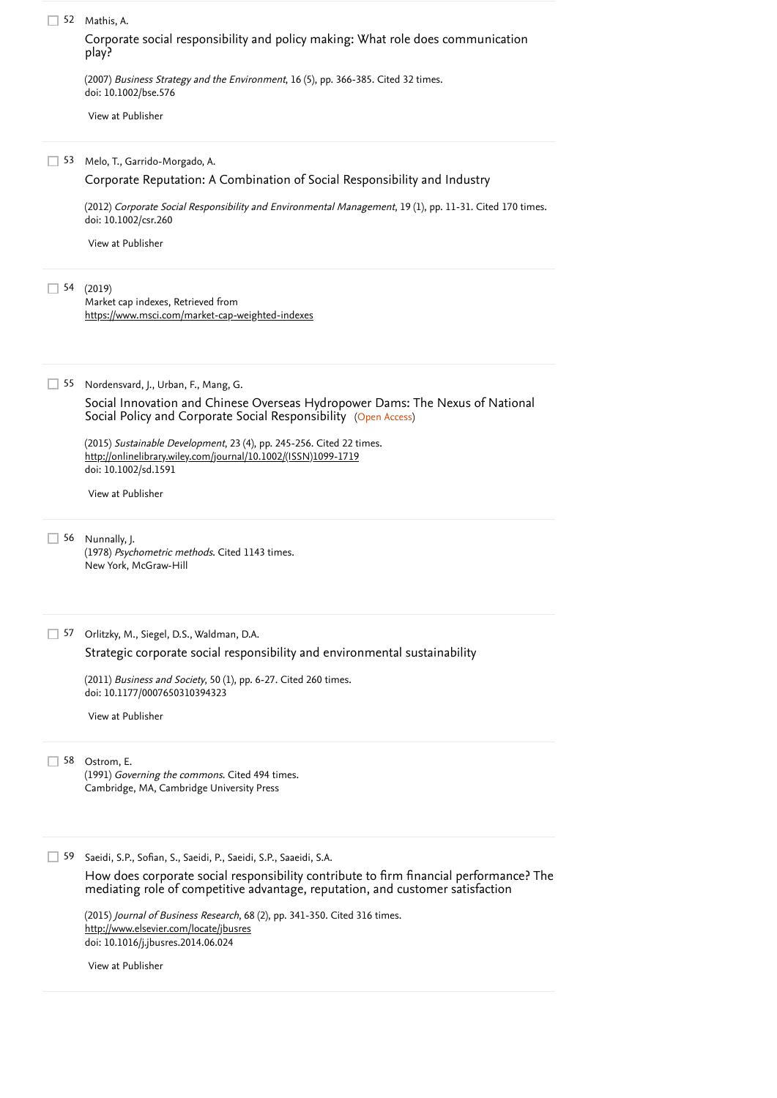| 52 | Mathis, A. |
|----|------------|
|----|------------|

[Corporate social responsibility and policy making: What role does communication](https://www.scopus.com/record/display.uri?eid=2-s2.0-34447119743&origin=reflist&recordRank=) play?

doi: 10.1002/bse.576

(2007) *Business Strategy and the Environment*, 16 (5), pp. 366-385. [Cited 32 times](https://www.scopus.com/search/submit/citedby.uri?eid=2-s2.0-85079908635&refeid=2-s2.0-34447119743&src=s&origin=reflist&refstat=core).<br>doi: 10.1002/bse.576<br>[View at Publisher](https://www.scopus.com/redirect/linking.uri?targetURL=https%3a%2f%2fdoi.org%2f10.1002%2fbse.576&locationID=3&categoryID=4&eid=2-s2.0-34447119743&issn=09644733&linkType=ViewAtPublisher&year=2007&origin=reflist&dig=08851a8c137113c1d4977b2daa2c9749&recordRank=) Melo, T., Garrido-Morgado, A. 53 (2012) *Corporate Social Responsibility and Environmental Management*, 19 (1), pp. 11-31. [Cited 170 times](https://www.scopus.com/search/submit/citedby.uri?eid=2-s2.0-85079908635&refeid=2-s2.0-84855738566&src=s&origin=reflist&refstat=core). doi: 10.1002/csr.260 (2019) 54 Market cap indexes, Retrieved from Nordensvard, J., Urban, F., Mang, G. 55 Social Policy and Corporate Social Responsibility (Open Access) (2015) *Sustainable Development*, 23 (4), pp. 245-256. [Cited 22 times](https://www.scopus.com/search/submit/citedby.uri?eid=2-s2.0-85079908635&refeid=2-s2.0-84940202071&src=s&origin=reflist&refstat=core). doi: 10.1002/sd.1591 56 Nunnally, J. (1978) Psychometric methods. [Cited 1143 times](https://www.scopus.com/search/submit/citedby.uri?eid=2-s2.0-85079908635&refeid=2-s2.0-0003905503&src=s&origin=reflist&refstat=dummy). New York, McGraw-Hill 57 Orlitzky, M., Siegel, D.S., Waldman, D.A. (2011) *Business and Society*, 50 (1), pp. 6-27. [Cited 260 times](https://www.scopus.com/search/submit/citedby.uri?eid=2-s2.0-85079908635&refeid=2-s2.0-79952049620&src=s&origin=reflist&refstat=core).<br>doi: 10.1177/0007650310394323<br>[View at Publisher](https://www.scopus.com/redirect/linking.uri?targetURL=https%3a%2f%2fdoi.org%2f10.1177%2f0007650310394323&locationID=3&categoryID=4&eid=2-s2.0-79952049620&issn=00076503&linkType=ViewAtPublisher&year=2011&origin=reflist&dig=e13253b1231a8c3aa19c2aadb022d8d6&recordRank=) doi: 10.1177/0007650310394323 Ostrom, E. 58 (1991) *Governing the commons*. [Cited 494 times](https://www.scopus.com/search/submit/citedby.uri?eid=2-s2.0-85079908635&refeid=2-s2.0-0004239198&src=s&origin=reflist&refstat=dummy). Cambridge, MA, Cambridge University Press 59 Saeidi, S.P., Sofian, S., Saeidi, P., Saeidi, S.P., Saaeidi, S.A. (2015) *Journal of Business Research*, 68 (2), pp. 341-350. [Cited 316 times](https://www.scopus.com/search/submit/citedby.uri?eid=2-s2.0-85079908635&refeid=2-s2.0-84919631651&src=s&origin=reflist&refstat=core). doi: 10.1016/j.jbusres.2014.06.024 [Corporate Reputation: A Combination of Social Responsibility and Industry](https://www.scopus.com/record/display.uri?eid=2-s2.0-84855738566&origin=reflist&recordRank=) [View at Publisher](https://www.scopus.com/redirect/linking.uri?targetURL=https%3a%2f%2fdoi.org%2f10.1002%2fcsr.260&locationID=3&categoryID=4&eid=2-s2.0-84855738566&issn=15353958&linkType=ViewAtPublisher&year=2012&origin=reflist&dig=f0012e9c99cd84b0f0c17b137569776b&recordRank=) <https://www.msci.com/market-cap-weighted-indexes> [Social Innovation and Chinese Overseas Hydropower Dams: The Nexus of National](https://www.scopus.com/record/display.uri?eid=2-s2.0-84940202071&origin=reflist&recordRank=) [http://onlinelibrary.wiley.com/journal/10.1002/\(ISSN\)1099-1719](http://onlinelibrary.wiley.com/journal/10.1002/(ISSN)1099-1719) [View at Publisher](https://www.scopus.com/redirect/linking.uri?targetURL=https%3a%2f%2fdoi.org%2f10.1002%2fsd.1591&locationID=3&categoryID=4&eid=2-s2.0-84940202071&issn=10991719&linkType=ViewAtPublisher&year=2015&origin=reflist&dig=6dd1cdf272141c7491ee4c13980218cd&recordRank=) [Strategic corporate social responsibility and environmental sustainability](https://www.scopus.com/record/display.uri?eid=2-s2.0-79952049620&origin=reflist&recordRank=) [How does corporate social responsibility contribute to firm financial performance? The](https://www.scopus.com/record/display.uri?eid=2-s2.0-84919631651&origin=reflist&recordRank=) mediating role of competitive advantage, reputation, and customer satisfaction <http://www.elsevier.com/locate/jbusres> [View at Publisher](https://www.scopus.com/redirect/linking.uri?targetURL=https%3a%2f%2fdoi.org%2f10.1016%2fj.jbusres.2014.06.024&locationID=3&categoryID=4&eid=2-s2.0-84919631651&issn=01482963&linkType=ViewAtPublisher&year=2015&origin=reflist&dig=a3a5c24408106eb07e42c281789ca89d&recordRank=)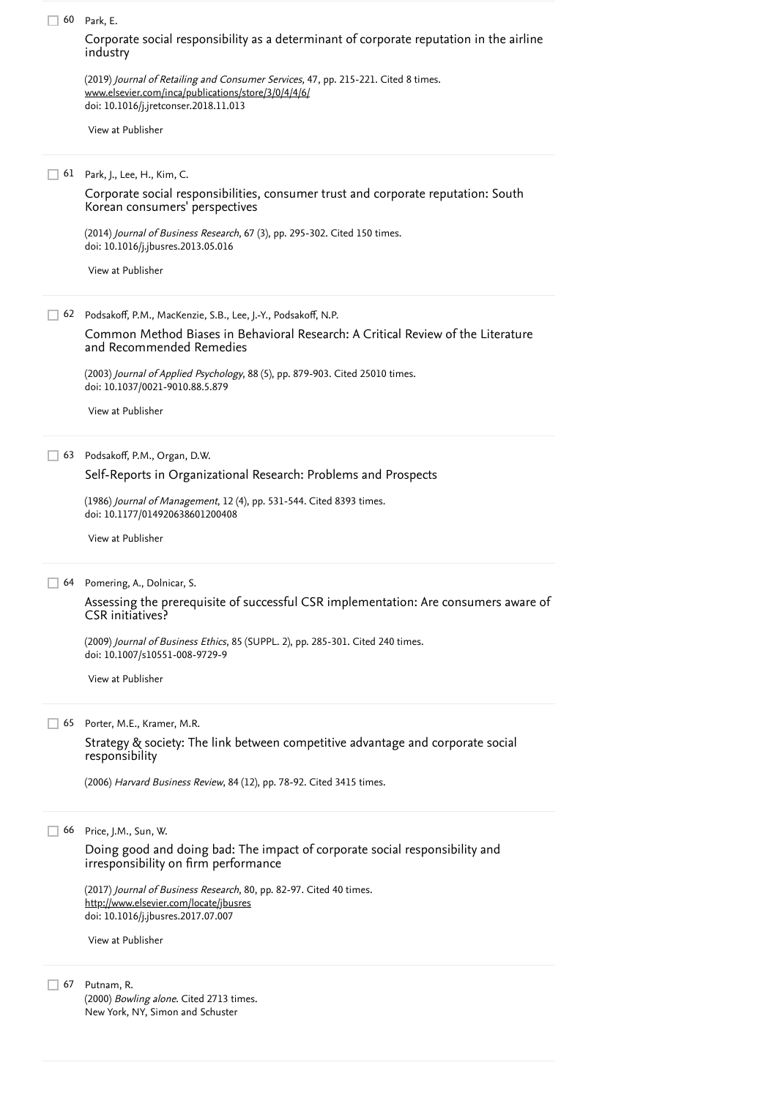|    | 60 Park, E.                                                                                                                                                                        |
|----|------------------------------------------------------------------------------------------------------------------------------------------------------------------------------------|
|    | Corporate social responsibility as a determinant of corporate reputation in the airline<br>industry                                                                                |
|    | (2019) Journal of Retailing and Consumer Services, 47, pp. 215-221. Cited 8 times.<br>www.elsevier.com/inca/publications/store/3/0/4/4/6/<br>doi: 10.1016/j.jretconser.2018.11.013 |
|    | View at Publisher                                                                                                                                                                  |
|    | 61 Park, J., Lee, H., Kim, C.                                                                                                                                                      |
|    | Corporate social responsibilities, consumer trust and corporate reputation: South<br>Korean consumers' perspectives                                                                |
|    | (2014) Journal of Business Research, 67 (3), pp. 295-302. Cited 150 times.<br>doi: 10.1016/j.jbusres.2013.05.016                                                                   |
|    | View at Publisher                                                                                                                                                                  |
|    | 62 Podsakoff, P.M., MacKenzie, S.B., Lee, J.-Y., Podsakoff, N.P.                                                                                                                   |
|    | Common Method Biases in Behavioral Research: A Critical Review of the Literature<br>and Recommended Remedies                                                                       |
|    | (2003) Journal of Applied Psychology, 88 (5), pp. 879-903. Cited 25010 times.<br>doi: 10.1037/0021-9010.88.5.879                                                                   |
|    | View at Publisher                                                                                                                                                                  |
| 63 | Podsakoff, P.M., Organ, D.W.                                                                                                                                                       |
|    | Self-Reports in Organizational Research: Problems and Prospects                                                                                                                    |
|    | (1986) Journal of Management, 12 (4), pp. 531-544. Cited 8393 times.<br>doi: 10.1177/014920638601200408                                                                            |
|    | View at Publisher                                                                                                                                                                  |
| 64 | Pomering, A., Dolnicar, S.                                                                                                                                                         |
|    | Assessing the prerequisite of successful CSR implementation: Are consumers aware of<br>CSR initiatives?                                                                            |
|    | (2009) Journal of Business Ethics, 85 (SUPPL. 2), pp. 285-301. Cited 240 times.<br>doi: 10.1007/s10551-008-9729-9                                                                  |
|    | View at Publisher                                                                                                                                                                  |
| 65 | Porter, M.E., Kramer, M.R.                                                                                                                                                         |
|    | Strategy & society: The link between competitive advantage and corporate social<br>responsibility                                                                                  |
|    | (2006) Harvard Business Review, 84 (12), pp. 78-92. Cited 3415 times.                                                                                                              |
| 66 | Price, J.M., Sun, W.                                                                                                                                                               |
|    | Doing good and doing bad: The impact of corporate social responsibility and<br>irresponsibility on firm performance                                                                |
|    | (2017) Journal of Business Research, 80, pp. 82-97. Cited 40 times.<br>http://www.elsevier.com/locate/jbusres                                                                      |
|    | doi: 10.1016/j.jbusres.2017.07.007                                                                                                                                                 |
|    | View at Publisher                                                                                                                                                                  |
| 67 | Putnam, R.                                                                                                                                                                         |

(2000) *Bowling alone*. Cited 2713 times. New York, NY, Simon and Schuster [Cited 2713 times](https://www.scopus.com/search/submit/citedby.uri?eid=2-s2.0-85079908635&refeid=2-s2.0-0004272517&src=s&origin=reflist&refstat=dummy)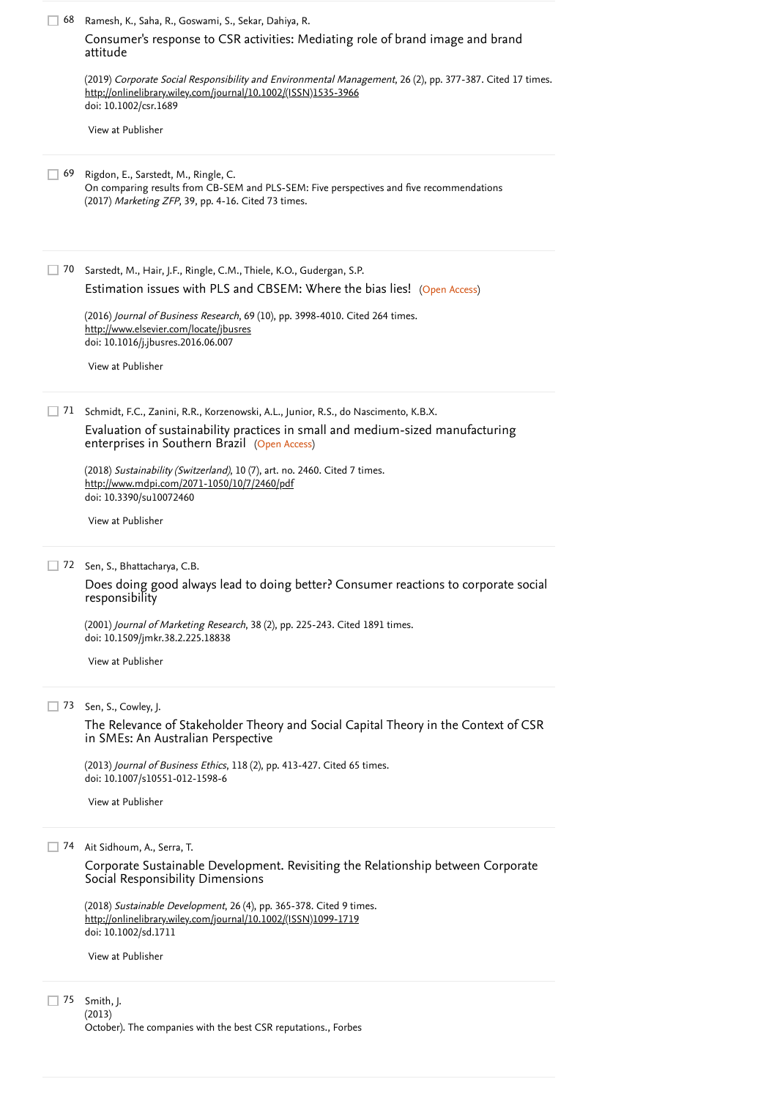| 68 | Ramesh, K., Saha, R., Goswami, S., Sekar, Dahiya, R.<br>Consumer's response to CSR activities: Mediating role of brand image and brand<br>attitude                                                                    |
|----|-----------------------------------------------------------------------------------------------------------------------------------------------------------------------------------------------------------------------|
|    | (2019) Corporate Social Responsibility and Environmental Management, 26 (2), pp. 377-387. Cited 17 times.<br>http://onlinelibrary.wiley.com/journal/10.1002/(ISSN)1535-3966<br>doi: 10.1002/csr.1689                  |
|    | View at Publisher                                                                                                                                                                                                     |
| 69 | Rigdon, E., Sarstedt, M., Ringle, C.<br>On comparing results from CB-SEM and PLS-SEM: Five perspectives and five recommendations<br>(2017) Marketing ZFP, 39, pp. 4-16. Cited 73 times.                               |
| 70 | Sarstedt, M., Hair, J.F., Ringle, C.M., Thiele, K.O., Gudergan, S.P.<br>Estimation issues with PLS and CBSEM: Where the bias lies! (Open Access)                                                                      |
|    | (2016) Journal of Business Research, 69 (10), pp. 3998-4010. Cited 264 times.<br>http://www.elsevier.com/locate/jbusres<br>doi: 10.1016/j.jbusres.2016.06.007                                                         |
|    | View at Publisher                                                                                                                                                                                                     |
| 71 | Schmidt, F.C., Zanini, R.R., Korzenowski, A.L., Junior, R.S., do Nascimento, K.B.X.<br>Evaluation of sustainability practices in small and medium-sized manufacturing<br>enterprises in Southern Brazil (Open Access) |
|    | (2018) Sustainability (Switzerland), 10 (7), art. no. 2460. Cited 7 times.<br>http://www.mdpi.com/2071-1050/10/7/2460/pdf<br>doi: 10.3390/su10072460                                                                  |
|    | View at Publisher                                                                                                                                                                                                     |
| 72 | Sen, S., Bhattacharya, C.B.<br>Does doing good always lead to doing better? Consumer reactions to corporate social<br>responsibility                                                                                  |
|    | (2001) Journal of Marketing Research, 38 (2), pp. 225-243. Cited 1891 times.<br>doi: 10.1509/jmkr.38.2.225.18838                                                                                                      |
|    | View at Publisher                                                                                                                                                                                                     |
| 73 | Sen, S., Cowley, J.<br>The Relevance of Stakeholder Theory and Social Capital Theory in the Context of CSR<br>in SMEs: An Australian Perspective                                                                      |
|    | (2013) Journal of Business Ethics, 118 (2), pp. 413-427. Cited 65 times.<br>doi: 10.1007/s10551-012-1598-6                                                                                                            |
|    | View at Publisher                                                                                                                                                                                                     |
| 74 | Ait Sidhoum, A., Serra, T.                                                                                                                                                                                            |
|    | Corporate Sustainable Development. Revisiting the Relationship between Corporate<br>Social Responsibility Dimensions                                                                                                  |
|    | (2018) Sustainable Development, 26 (4), pp. 365-378. Cited 9 times.<br>http://onlinelibrary.wiley.com/journal/10.1002/(ISSN)1099-1719<br>doi: 10.1002/sd.1711                                                         |
|    | View at Publisher                                                                                                                                                                                                     |
|    | 75 Smith, J.                                                                                                                                                                                                          |

Smith, J. (2013) October). The companies with the best CSR reputations., Forbes